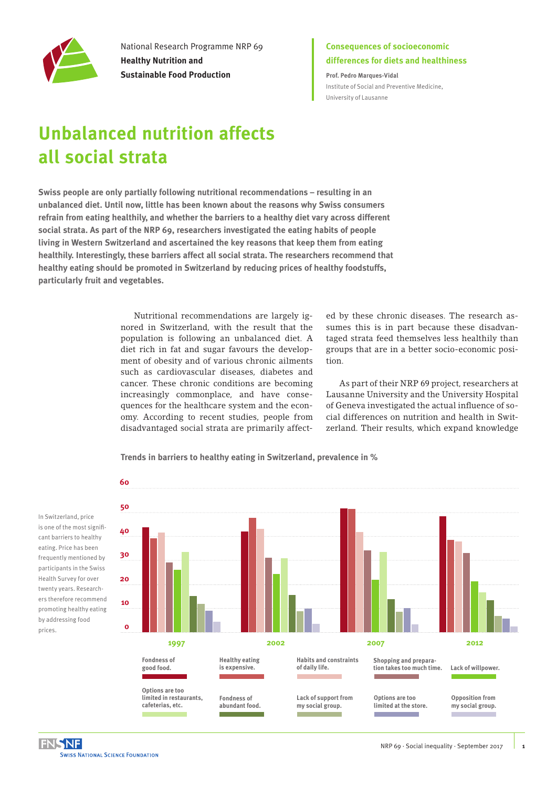

National Research Programme NRP 69 **Healthy Nutrition and Sustainable Food Production**

### **Consequences of socioeconomic differences for diets and healthiness**

**Prof. Pedro Marques-Vidal** Institute of Social and Preventive Medicine, University of Lausanne

# **Unbalanced nutrition affects all social strata**

**Swiss people are only partially following nutritional recommendations – resulting in an unbalanced diet. Until now, little has been known about the reasons why Swiss consumers refrain from eating healthily, and whether the barriers to a healthy diet vary across different social strata. As part of the NRP 69, researchers investigated the eating habits of people living in Western Switzerland and ascertained the key reasons that keep them from eating healthily. Interestingly, these barriers affect all social strata. The researchers recommend that healthy eating should be promoted in Switzerland by reducing prices of healthy foodstuffs, particularly fruit and vegetables.** 

> Nutritional recommendations are largely ignored in Switzerland, with the result that the population is following an unbalanced diet. A diet rich in fat and sugar favours the development of obesity and of various chronic ailments such as cardiovascular diseases, diabetes and cancer. These chronic conditions are becoming increasingly commonplace, and have consequences for the healthcare system and the economy. According to recent studies, people from disadvantaged social strata are primarily affect-

**Trends in barriers to healthy eating in Switzerland, prevalence in %**

ed by these chronic diseases. The research assumes this is in part because these disadvantaged strata feed themselves less healthily than groups that are in a better socio-economic position.

As part of their NRP 69 project, researchers at Lausanne University and the University Hospital of Geneva investigated the actual influence of social differences on nutrition and health in Switzerland. Their results, which expand knowledge



is one of the most signifiis one of the most signif<br>cant barriers to healthy eating. Price has been eating. Price has been<br>frequently mentioned by participants in the Swiss .<br>Health Survey for over<br>twenty vears. Research twenty years. Researchers therefore recommend ers therefore recommend<br>promoting healthy eating by addressing food<br>prices. prices.

m.